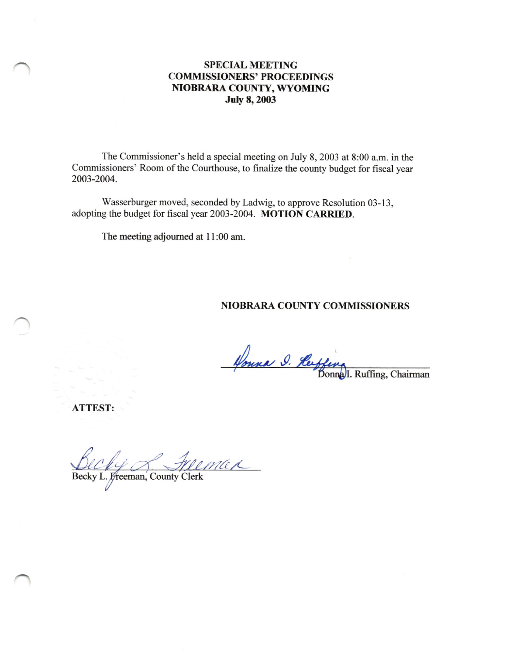# SPECIAL MEETING COMMISSIONERS' PROCEEDINGS NIOBRARA COUNTY, WYOMING July 8,2003

The Commissioner's held a special meeting on July 8,2003 at 8:00 a.m. in the Commissioners' Room of the Courthouse, to finalize the county budget for fiscal year 2003-2004.

Wasserburger moved, seconded by Ladwig, to approve Resolution 03-13, adopting the budget for fiscal yeat 2003-2004. MOTION CARRIED.

The meeting adjourned at 11:00 am.

#### NIOBRARA COUNTY COMMISSIONERS

Honna 9. Herffeng<br>Bonna Bonna I. Ruffing, Chairman

ATTEST:

max Delly Andrew Hele